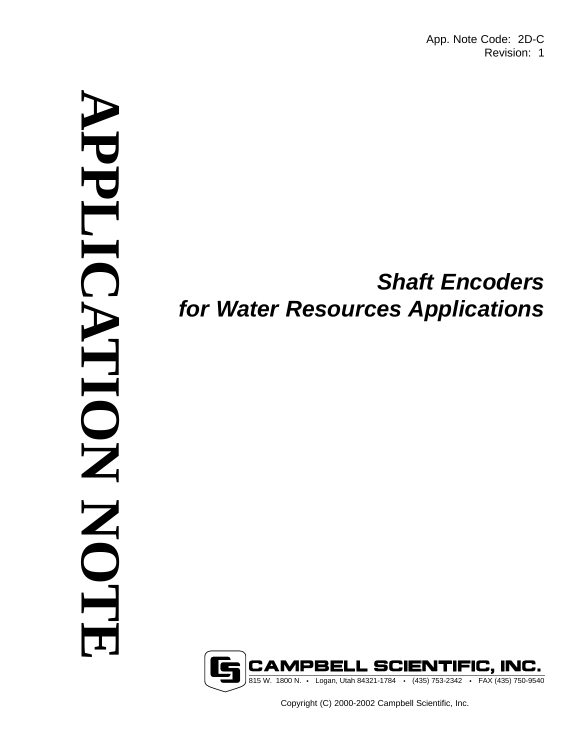App. Note Code: 2D-C Revision: 1

# **APPLICATION NOTE** NPPLI HOIL **NO**

# *Shaft Encoders for Water Resources Applications*



Copyright (C) 2000-2002 Campbell Scientific, Inc.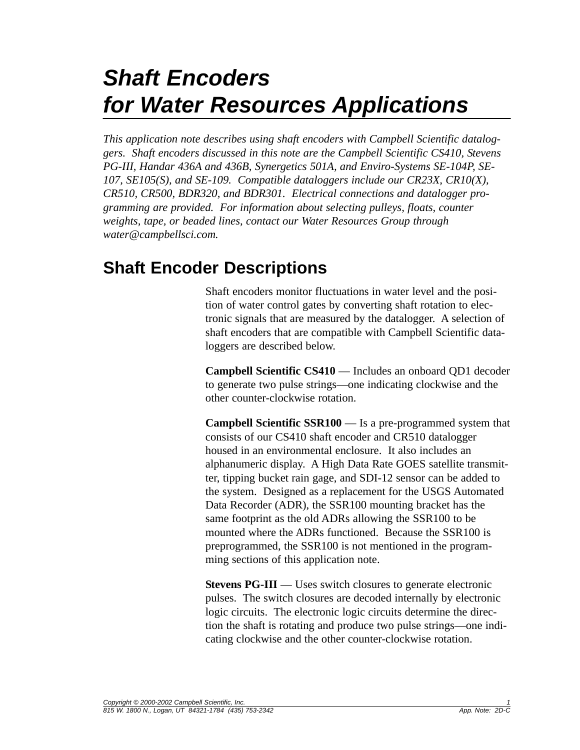# *Shaft Encoders for Water Resources Applications*

*This application note describes using shaft encoders with Campbell Scientific dataloggers. Shaft encoders discussed in this note are the Campbell Scientific CS410, Stevens PG-III, Handar 436A and 436B, Synergetics 501A, and Enviro-Systems SE-104P, SE-107, SE105(S), and SE-109. Compatible dataloggers include our CR23X, CR10(X), CR510, CR500, BDR320, and BDR301. Electrical connections and datalogger programming are provided. For information about selecting pulleys, floats, counter weights, tape, or beaded lines, contact our Water Resources Group through water@campbellsci.com.*

### **Shaft Encoder Descriptions**

Shaft encoders monitor fluctuations in water level and the position of water control gates by converting shaft rotation to electronic signals that are measured by the datalogger. A selection of shaft encoders that are compatible with Campbell Scientific dataloggers are described below.

**Campbell Scientific CS410** — Includes an onboard QD1 decoder to generate two pulse strings—one indicating clockwise and the other counter-clockwise rotation.

**Campbell Scientific SSR100** — Is a pre-programmed system that consists of our CS410 shaft encoder and CR510 datalogger housed in an environmental enclosure. It also includes an alphanumeric display. A High Data Rate GOES satellite transmitter, tipping bucket rain gage, and SDI-12 sensor can be added to the system. Designed as a replacement for the USGS Automated Data Recorder (ADR), the SSR100 mounting bracket has the same footprint as the old ADRs allowing the SSR100 to be mounted where the ADRs functioned. Because the SSR100 is preprogrammed, the SSR100 is not mentioned in the programming sections of this application note.

**Stevens PG-III** — Uses switch closures to generate electronic pulses. The switch closures are decoded internally by electronic logic circuits. The electronic logic circuits determine the direction the shaft is rotating and produce two pulse strings—one indicating clockwise and the other counter-clockwise rotation.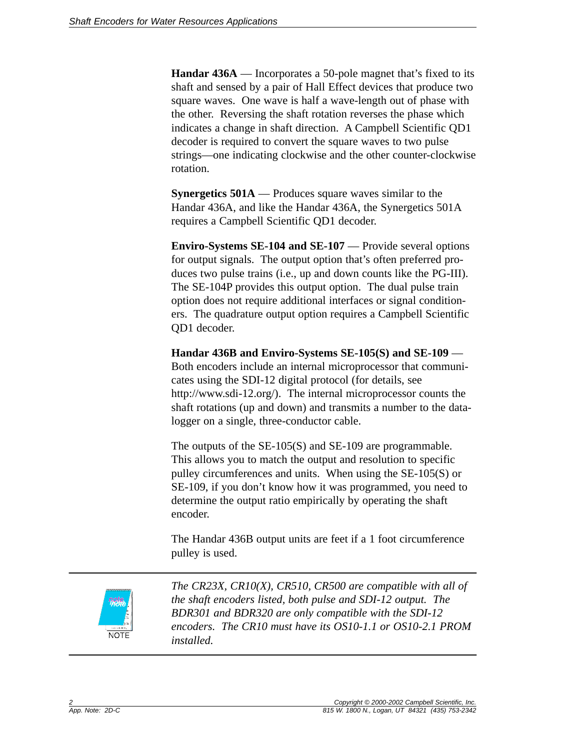**Handar 436A** — Incorporates a 50-pole magnet that's fixed to its shaft and sensed by a pair of Hall Effect devices that produce two square waves. One wave is half a wave-length out of phase with the other. Reversing the shaft rotation reverses the phase which indicates a change in shaft direction. A Campbell Scientific QD1 decoder is required to convert the square waves to two pulse strings—one indicating clockwise and the other counter-clockwise rotation.

**Synergetics 501A** — Produces square waves similar to the Handar 436A, and like the Handar 436A, the Synergetics 501A requires a Campbell Scientific QD1 decoder.

**Enviro-Systems SE-104 and SE-107** — Provide several options for output signals. The output option that's often preferred produces two pulse trains (i.e., up and down counts like the PG-III). The SE-104P provides this output option. The dual pulse train option does not require additional interfaces or signal conditioners. The quadrature output option requires a Campbell Scientific QD1 decoder.

**Handar 436B and Enviro-Systems SE-105(S) and SE-109** — Both encoders include an internal microprocessor that communicates using the SDI-12 digital protocol (for details, see http://www.sdi-12.org/). The internal microprocessor counts the shaft rotations (up and down) and transmits a number to the datalogger on a single, three-conductor cable.

The outputs of the SE-105(S) and SE-109 are programmable. This allows you to match the output and resolution to specific pulley circumferences and units. When using the SE-105(S) or SE-109, if you don't know how it was programmed, you need to determine the output ratio empirically by operating the shaft encoder.

The Handar 436B output units are feet if a 1 foot circumference pulley is used.



*The CR23X, CR10(X), CR510, CR500 are compatible with all of the shaft encoders listed, both pulse and SDI-12 output. The BDR301 and BDR320 are only compatible with the SDI-12 encoders. The CR10 must have its OS10-1.1 or OS10-2.1 PROM installed.*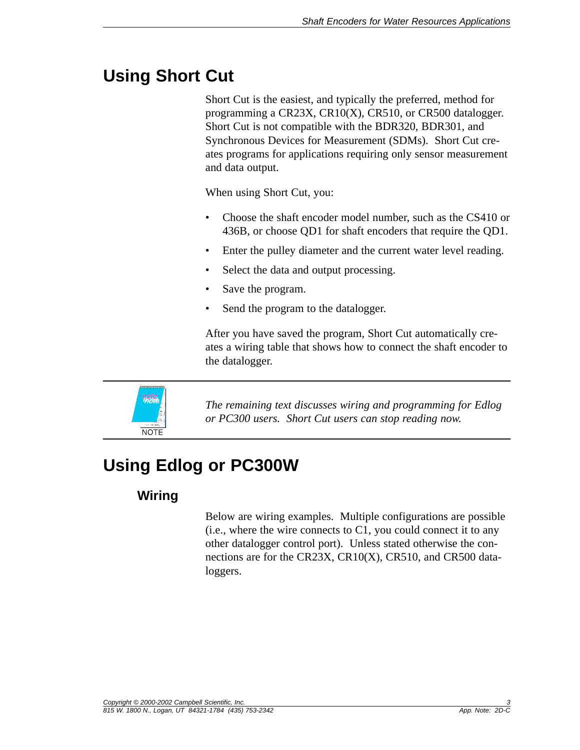## **Using Short Cut**

Short Cut is the easiest, and typically the preferred, method for programming a CR23X, CR10(X), CR510, or CR500 datalogger. Short Cut is not compatible with the BDR320, BDR301, and Synchronous Devices for Measurement (SDMs). Short Cut creates programs for applications requiring only sensor measurement and data output.

When using Short Cut, you:

- Choose the shaft encoder model number, such as the CS410 or 436B, or choose QD1 for shaft encoders that require the QD1.
- Enter the pulley diameter and the current water level reading.
- Select the data and output processing.
- Save the program.
- Send the program to the datalogger.

After you have saved the program, Short Cut automatically creates a wiring table that shows how to connect the shaft encoder to the datalogger.



*The remaining text discusses wiring and programming for Edlog or PC300 users. Short Cut users can stop reading now.*

## **Using Edlog or PC300W**

#### **Wiring**

Below are wiring examples. Multiple configurations are possible (i.e., where the wire connects to C1, you could connect it to any other datalogger control port). Unless stated otherwise the connections are for the CR23X, CR10(X), CR510, and CR500 dataloggers.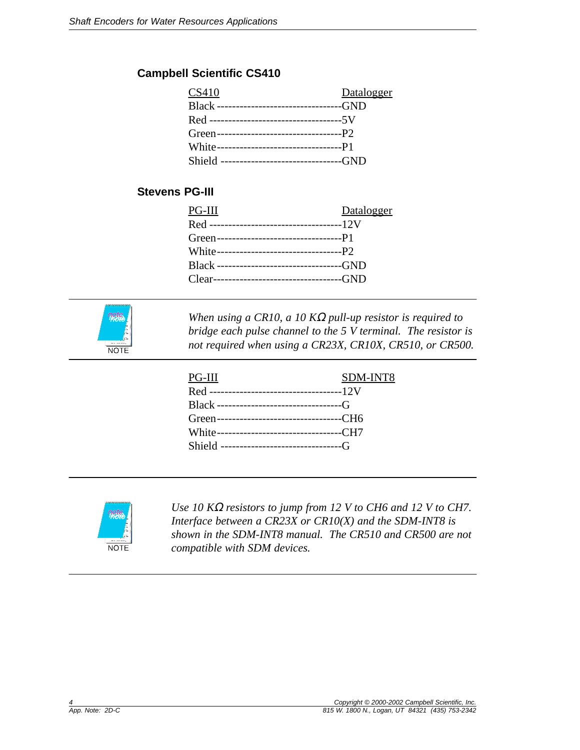#### **Campbell Scientific CS410**

| CS410                                         | Datalogger |
|-----------------------------------------------|------------|
| Black --------------------------------GND     |            |
|                                               |            |
|                                               |            |
|                                               |            |
| Shield -----------------------------------GND |            |

#### **Stevens PG-III**

| PG-III                                    | Datalogger |
|-------------------------------------------|------------|
|                                           |            |
|                                           |            |
|                                           |            |
| Black --------------------------------GND |            |
| Clear---------------------------------GND |            |
|                                           |            |



*When using a CR10, a 10 K*<sup>Ω</sup> *pull-up resistor is required to bridge each pulse channel to the 5 V terminal. The resistor is not required when using a CR23X, CR10X, CR510, or CR500.*

| PG-III                                   | SDM-INT8 |
|------------------------------------------|----------|
|                                          |          |
|                                          |          |
|                                          |          |
| Green--------------------------------CH6 |          |
| White--------------------------------CH7 |          |
|                                          |          |
|                                          |          |



*Use 10 K*<sup>Ω</sup> *resistors to jump from 12 V to CH6 and 12 V to CH7. Interface between a CR23X or CR10(X) and the SDM-INT8 is shown in the SDM-INT8 manual. The CR510 and CR500 are not compatible with SDM devices.*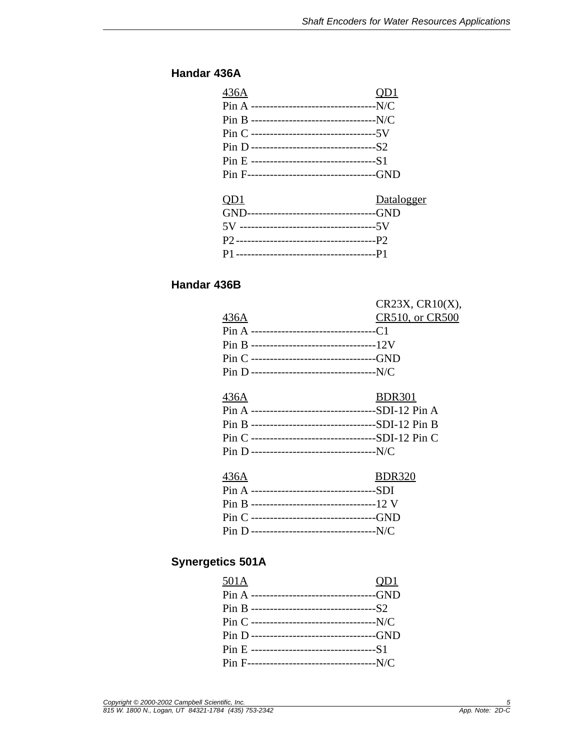#### **Handar 436A**

| OD <sub>1</sub>                            |
|--------------------------------------------|
|                                            |
|                                            |
|                                            |
|                                            |
|                                            |
| Pin F----------------------------------GND |
| Datalogger                                 |
| GND---------------------------------GND    |
|                                            |
|                                            |
|                                            |
|                                            |

#### **Handar 436B**

|                                                    | $CR23X$ , $CR10(X)$ , |
|----------------------------------------------------|-----------------------|
| 436A                                               | CR510, or CR500       |
| Pin A ---------------------------------C1          |                       |
| Pin B ---------------------------------12V         |                       |
| Pin C --------------------------------GND          |                       |
| Pin D ----------------------------------N/C        |                       |
|                                                    |                       |
| 436A                                               | <b>BDR301</b>         |
| Pin A --------------------------------SDI-12 Pin A |                       |
| Pin B --------------------------------SDI-12 Pin B |                       |
| Pin C --------------------------------SDI-12 Pin C |                       |
| Pin D ---------------------------------N/C         |                       |
|                                                    |                       |
| 436A                                               | <b>BDR320</b>         |

| 400A                                         | DUK320 |
|----------------------------------------------|--------|
|                                              |        |
| Pin B ----------------------------------12 V |        |
|                                              |        |
|                                              |        |

#### **Synergetics 501A**

| 501A                                        | QD1 |
|---------------------------------------------|-----|
| Pin A --------------------------------GND   |     |
|                                             |     |
| Pin C ----------------------------------N/C |     |
| Pin D --------------------------------GND   |     |
|                                             |     |
|                                             |     |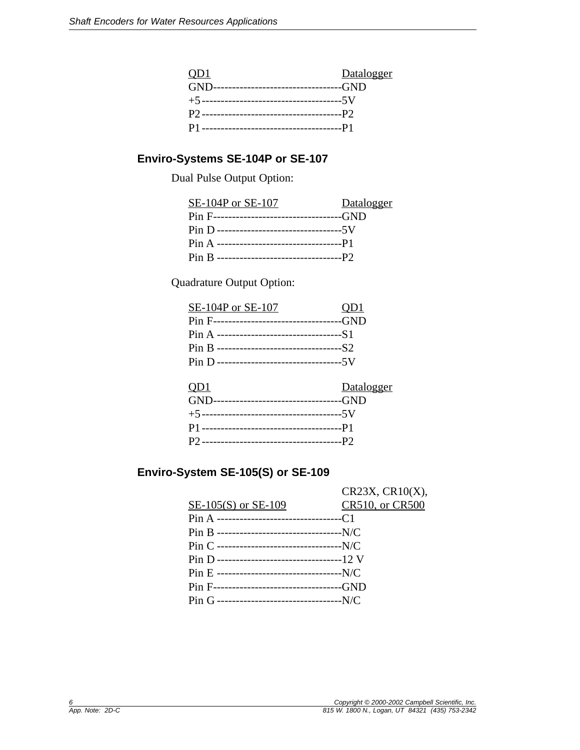| Q <sub>D</sub> 1 | Datalogger |
|------------------|------------|
|                  |            |
|                  |            |
|                  |            |
|                  |            |

#### **Enviro-Systems SE-104P or SE-107**

Dual Pulse Output Option:

| SE-104P or SE-107 | Datalogger |
|-------------------|------------|
|                   |            |
|                   |            |
|                   |            |
|                   |            |

Quadrature Output Option:

| SE-104P or SE-107                          | QD1        |
|--------------------------------------------|------------|
| Pin F----------------------------------GND |            |
|                                            |            |
|                                            |            |
|                                            |            |
|                                            |            |
| Q <sub>D</sub> 1                           | Datalogger |
| GND---------------------------------GND    |            |
|                                            |            |
|                                            |            |
|                                            |            |

#### **Enviro-System SE-105(S) or SE-109**

|                                              | CR23X, CR10(X), |
|----------------------------------------------|-----------------|
| SE-105(S) or SE-109                          | CR510, or CR500 |
| Pin A ---------------------------------C1    |                 |
| Pin B ----------------------------------N/C  |                 |
|                                              |                 |
| Pin D ----------------------------------12 V |                 |
|                                              |                 |
| Pin F---------------------------------GND    |                 |
| Pin G ----------------------------------N/C  |                 |
|                                              |                 |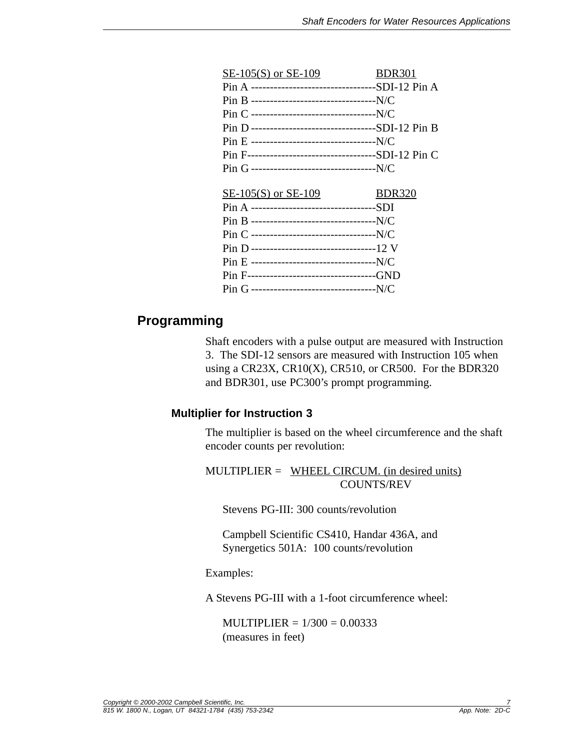| SE-105(S) or SE-109                                 | <b>BDR301</b> |
|-----------------------------------------------------|---------------|
| Pin A ---------------------------------SDI-12 Pin A |               |
|                                                     |               |
|                                                     |               |
| Pin D ---------------------------------SDI-12 Pin B |               |
|                                                     |               |
| Pin F----------------------------------SDI-12 Pin C |               |
|                                                     |               |
|                                                     |               |
| $SE-105(S)$ or $SE-109$                             | <b>BDR320</b> |
| Pin A ----------------------------------SDI         |               |
| Pin B ----------------------------------N/C         |               |
|                                                     |               |
|                                                     |               |
| Pin D ----------------------------------12 V        |               |
|                                                     |               |
|                                                     |               |

#### **Programming**

Shaft encoders with a pulse output are measured with Instruction 3. The SDI-12 sensors are measured with Instruction 105 when using a CR23X, CR10 $(X)$ , CR510, or CR500. For the BDR320 and BDR301, use PC300's prompt programming.

#### **Multiplier for Instruction 3**

The multiplier is based on the wheel circumference and the shaft encoder counts per revolution:

MULTIPLIER = WHEEL CIRCUM. (in desired units) COUNTS/REV

Stevens PG-III: 300 counts/revolution

Campbell Scientific CS410, Handar 436A, and Synergetics 501A: 100 counts/revolution

#### Examples:

A Stevens PG-III with a 1-foot circumference wheel:

 $MULTIPLIER =  $1/300 = 0.00333$$ (measures in feet)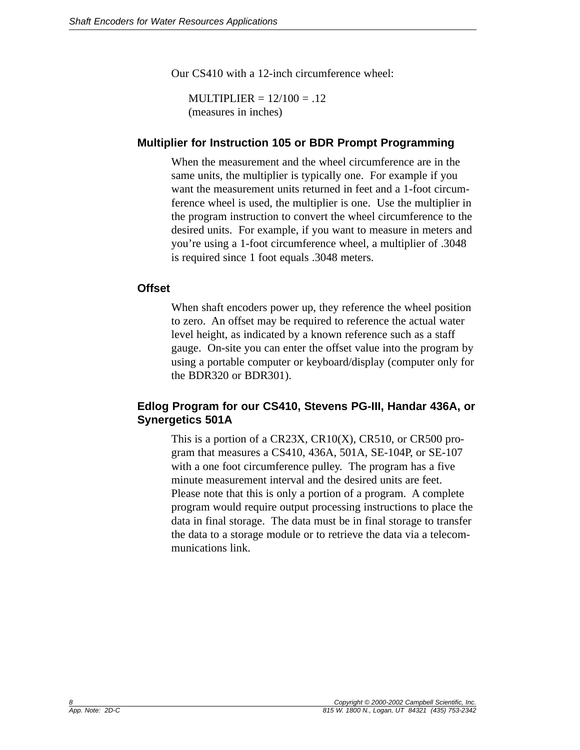Our CS410 with a 12-inch circumference wheel:

 $MULTIPLIER =  $12/100 = .12$$ (measures in inches)

#### **Multiplier for Instruction 105 or BDR Prompt Programming**

When the measurement and the wheel circumference are in the same units, the multiplier is typically one. For example if you want the measurement units returned in feet and a 1-foot circumference wheel is used, the multiplier is one. Use the multiplier in the program instruction to convert the wheel circumference to the desired units. For example, if you want to measure in meters and you're using a 1-foot circumference wheel, a multiplier of .3048 is required since 1 foot equals .3048 meters.

#### **Offset**

When shaft encoders power up, they reference the wheel position to zero. An offset may be required to reference the actual water level height, as indicated by a known reference such as a staff gauge. On-site you can enter the offset value into the program by using a portable computer or keyboard/display (computer only for the BDR320 or BDR301).

#### **Edlog Program for our CS410, Stevens PG-III, Handar 436A, or Synergetics 501A**

This is a portion of a CR23X, CR10(X), CR510, or CR500 program that measures a CS410, 436A, 501A, SE-104P, or SE-107 with a one foot circumference pulley. The program has a five minute measurement interval and the desired units are feet. Please note that this is only a portion of a program. A complete program would require output processing instructions to place the data in final storage. The data must be in final storage to transfer the data to a storage module or to retrieve the data via a telecommunications link.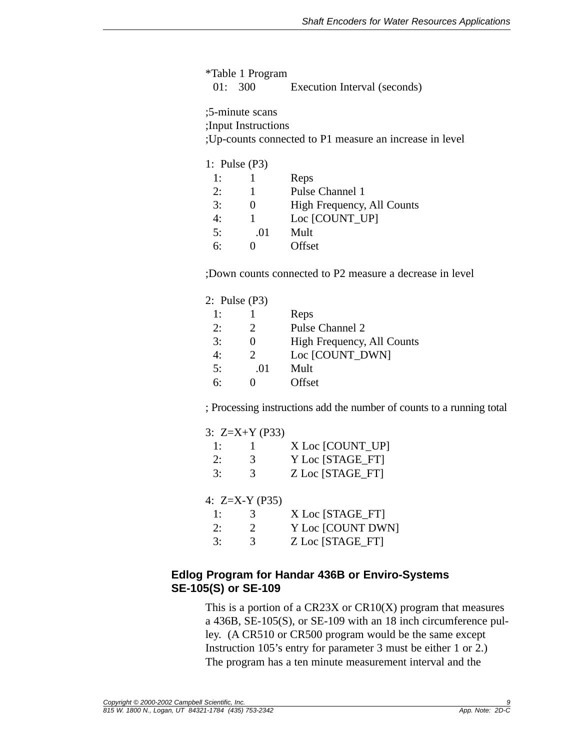\*Table 1 Program 01: 300 Execution Interval (seconds)

;5-minute scans

;Input Instructions

;Up-counts connected to P1 measure an increase in level

1: Pulse (P3)

| 1: |     | Reps                       |
|----|-----|----------------------------|
| 2: |     | Pulse Channel 1            |
| 3: |     | High Frequency, All Counts |
| 4: |     | Loc [COUNT UP]             |
| 5: | .01 | Mult                       |
| რ: |     | Offset                     |

;Down counts connected to P2 measure a decrease in level

|    | 2: Pulse (P3)               |                            |
|----|-----------------------------|----------------------------|
| 1: |                             | Reps                       |
| 2: | $\mathcal{D}_{\mathcal{L}}$ | Pulse Channel 2            |
| 3: |                             | High Frequency, All Counts |
| 4: | $\mathcal{D}$               | Loc [COUNT_DWN]            |
| 5: | .01                         | Mult                       |
| 6۰ |                             | Offset                     |

; Processing instructions add the number of counts to a running total

|    | 3: $Z=X+Y$ (P33) |                   |
|----|------------------|-------------------|
| 1: |                  | X Loc [COUNT_UP]  |
| 2: | 3                | Y Loc [STAGE FT]  |
| 3: | $\mathcal{R}$    | Z Loc [STAGE FT]  |
|    |                  |                   |
|    | 4: $Z=X-Y$ (P35) |                   |
| 1: | 3                | X Loc [STAGE FT]  |
| 2: | 2                | Y Loc [COUNT DWN] |
| 3: | 3                | Z Loc [STAGE FT]  |

#### **Edlog Program for Handar 436B or Enviro-Systems SE-105(S) or SE-109**

This is a portion of a  $C\rightarrow C\rightarrow C\rightarrow C$  program that measures a 436B, SE-105(S), or SE-109 with an 18 inch circumference pulley. (A CR510 or CR500 program would be the same except Instruction 105's entry for parameter 3 must be either 1 or 2.) The program has a ten minute measurement interval and the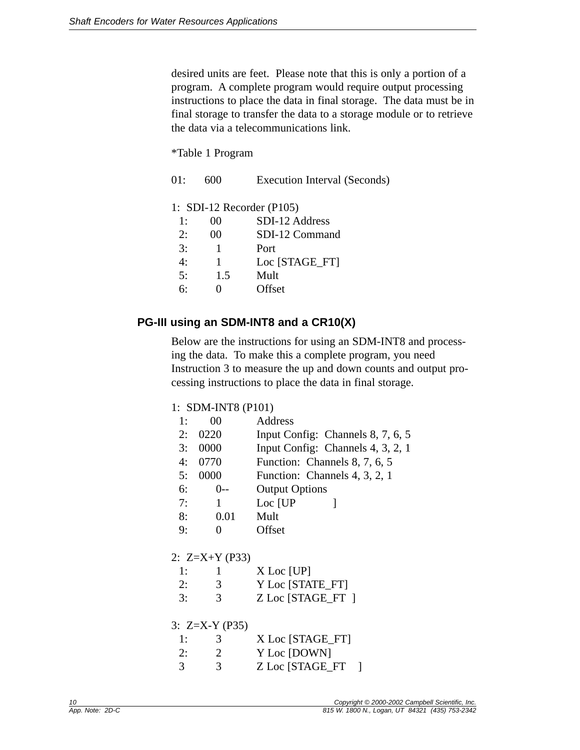desired units are feet. Please note that this is only a portion of a program. A complete program would require output processing instructions to place the data in final storage. The data must be in final storage to transfer the data to a storage module or to retrieve the data via a telecommunications link.

\*Table 1 Program

| 01: |     | Execution Interval (Seconds)    |
|-----|-----|---------------------------------|
|     |     | 1: SDI-12 Recorder $($ P105 $)$ |
| 1:  | 00  | SDI-12 Address                  |
| 2:  | 00  | SDI-12 Command                  |
| 3:  |     | Port                            |
| 4:  |     | Loc [STAGE FT]                  |
| 5:  | 1.5 | Mult                            |
| 6:  |     | Offset                          |
|     |     |                                 |

#### **PG-III using an SDM-INT8 and a CR10(X)**

Below are the instructions for using an SDM-INT8 and processing the data. To make this a complete program, you need Instruction 3 to measure the up and down counts and output processing instructions to place the data in final storage.

#### 1: SDM-INT8 (P101)

| 1: | 00               | Address                           |  |  |
|----|------------------|-----------------------------------|--|--|
| 2: | 0220             | Input Config: Channels 8, 7, 6, 5 |  |  |
| 3: | 0000             | Input Config: Channels 4, 3, 2, 1 |  |  |
|    | 4: 0770          | Function: Channels 8, 7, 6, 5     |  |  |
| 5: | 0000             | Function: Channels 4, 3, 2, 1     |  |  |
| 6: | 0--              | <b>Output Options</b>             |  |  |
| 7: | 1                | Loc [UP]<br>1                     |  |  |
| 8: | 0.01             | Mult                              |  |  |
| 9: | 0                | Offset                            |  |  |
|    |                  |                                   |  |  |
|    | 2: $Z=X+Y$ (P33) |                                   |  |  |
| 1: | $\mathbf{1}$     | $X$ Loc [UP]                      |  |  |
| 2: | 3                | Y Loc [STATE FT]                  |  |  |
| 3: | 3                | Z Loc [STAGE_FT]                  |  |  |
|    |                  |                                   |  |  |
|    | 3: $Z=X-Y$ (P35) |                                   |  |  |
| 1: | 3                | X Loc [STAGE_FT]                  |  |  |
| 2: | $\overline{2}$   | Y Loc [DOWN]                      |  |  |
| 3  | 3                | Z Loc [STAGE_FT                   |  |  |